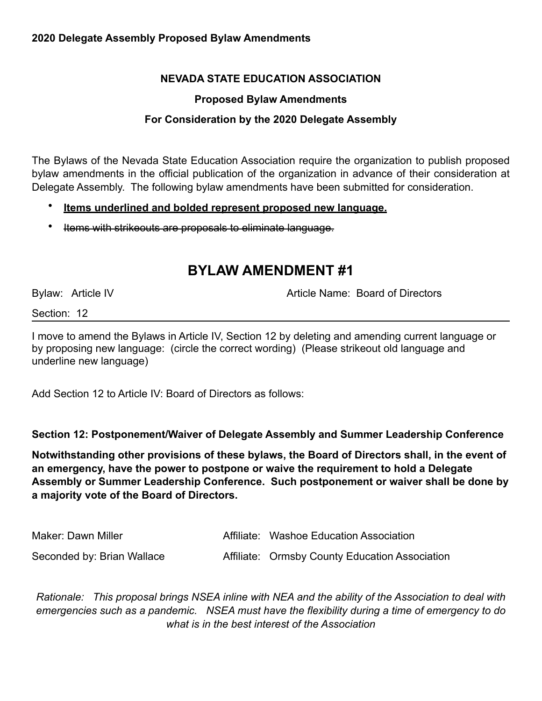### **NEVADA STATE EDUCATION ASSOCIATION**

#### **Proposed Bylaw Amendments**

### **For Consideration by the 2020 Delegate Assembly**

The Bylaws of the Nevada State Education Association require the organization to publish proposed bylaw amendments in the official publication of the organization in advance of their consideration at Delegate Assembly. The following bylaw amendments have been submitted for consideration.

- **Items underlined and bolded represent proposed new language.**
- Items with strikeouts are proposals to eliminate language.

## **BYLAW AMENDMENT #1**

Bylaw: Article IV Article Name: Board of Directors

Section: 12

I move to amend the Bylaws in Article IV, Section 12 by deleting and amending current language or by proposing new language: (circle the correct wording) (Please strikeout old language and underline new language)

Add Section 12 to Article IV: Board of Directors as follows:

**Section 12: Postponement/Waiver of Delegate Assembly and Summer Leadership Conference** 

**Notwithstanding other provisions of these bylaws, the Board of Directors shall, in the event of an emergency, have the power to postpone or waive the requirement to hold a Delegate Assembly or Summer Leadership Conference. Such postponement or waiver shall be done by a majority vote of the Board of Directors.** 

| Maker: Dawn Miller         | Affiliate: Washoe Education Association        |
|----------------------------|------------------------------------------------|
| Seconded by: Brian Wallace | Affiliate: Ormsby County Education Association |

*Rationale: This proposal brings NSEA inline with NEA and the ability of the Association to deal with emergencies such as a pandemic. NSEA must have the flexibility during a time of emergency to do what is in the best interest of the Association*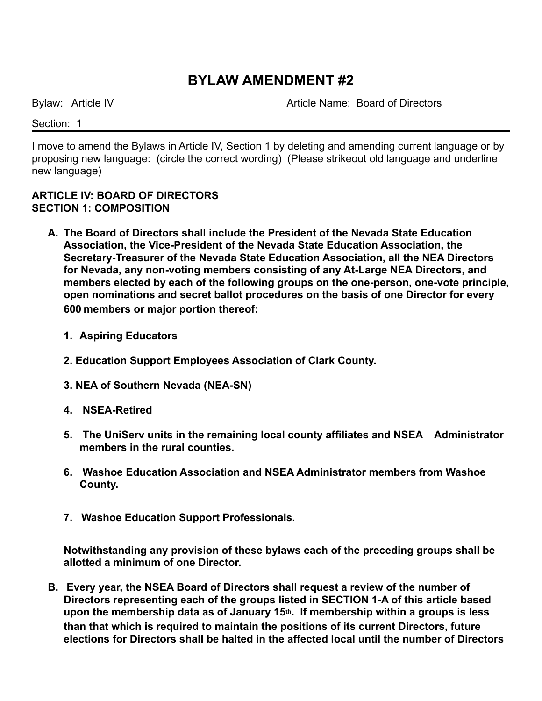### **BYLAW AMENDMENT #2**

Bylaw: Article IV Article Name: Board of Directors

Section: 1

I move to amend the Bylaws in Article IV, Section 1 by deleting and amending current language or by proposing new language: (circle the correct wording) (Please strikeout old language and underline new language)

### **ARTICLE IV: BOARD OF DIRECTORS SECTION 1: COMPOSITION**

- **A. The Board of Directors shall include the President of the Nevada State Education Association, the Vice-President of the Nevada State Education Association, the Secretary-Treasurer of the Nevada State Education Association, all the NEA Directors for Nevada, any non-voting members consisting of any At-Large NEA Directors, and members elected by each of the following groups on the one-person, one-vote principle, open nominations and secret ballot procedures on the basis of one Director for every 600 members or major portion thereof:** 
	- **1. Aspiring Educators**
	- **2. Education Support Employees Association of Clark County.**
	- **3. NEA of Southern Nevada (NEA-SN)**
	- **4. NSEA-Retired**
	- **5. The UniServ units in the remaining local county affiliates and NSEA Administrator members in the rural counties.**
	- **6. Washoe Education Association and NSEA Administrator members from Washoe County.**
	- **7. Washoe Education Support Professionals.**

**Notwithstanding any provision of these bylaws each of the preceding groups shall be allotted a minimum of one Director.** 

**B. Every year, the NSEA Board of Directors shall request a review of the number of Directors representing each of the groups listed in SECTION 1-A of this article based upon the membership data as of January 15th. If membership within a groups is less than that which is required to maintain the positions of its current Directors, future elections for Directors shall be halted in the affected local until the number of Directors**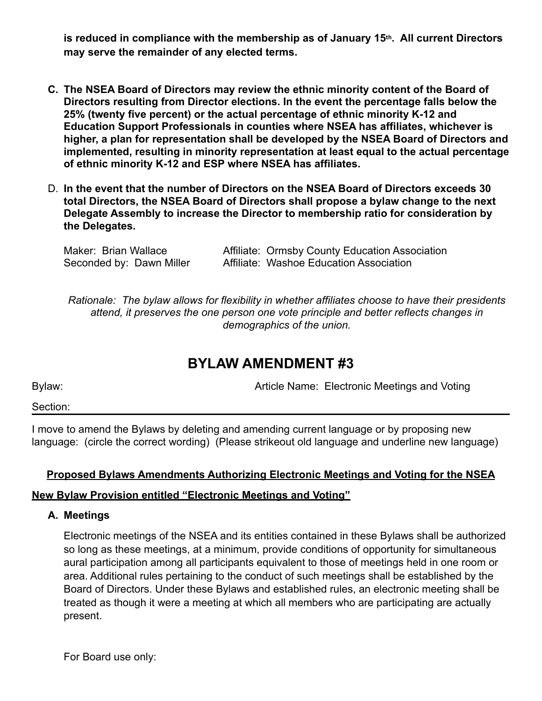**is reduced in compliance with the membership as of January 15th. All current Directors may serve the remainder of any elected terms.** 

- **C. The NSEA Board of Directors may review the ethnic minority content of the Board of Directors resulting from Director elections. In the event the percentage falls below the 25% (twenty five percent) or the actual percentage of ethnic minority K-12 and Education Support Professionals in counties where NSEA has affiliates, whichever is higher, a plan for representation shall be developed by the NSEA Board of Directors and implemented, resulting in minority representation at least equal to the actual percentage of ethnic minority K-12 and ESP where NSEA has affiliates.**
- D. **In the event that the number of Directors on the NSEA Board of Directors exceeds 30 total Directors, the NSEA Board of Directors shall propose a bylaw change to the next Delegate Assembly to increase the Director to membership ratio for consideration by the Delegates.**

Maker: Brian Wallace **Affiliate: Ormsby County Education Association** Seconded by: Dawn Miller Affiliate: Washoe Education Association

*Rationale: The bylaw allows for flexibility in whether affiliates choose to have their presidents attend, it preserves the one person one vote principle and better reflects changes in demographics of the union.* 

# **BYLAW AMENDMENT #3**

Bylaw: Article Name: Electronic Meetings and Voting

Section:

I move to amend the Bylaws by deleting and amending current language or by proposing new language: (circle the correct wording) (Please strikeout old language and underline new language)

### **Proposed Bylaws Amendments Authorizing Electronic Meetings and Voting for the NSEA**

### **New Bylaw Provision entitled "Electronic Meetings and Voting"**

### **A. Meetings**

Electronic meetings of the NSEA and its entities contained in these Bylaws shall be authorized so long as these meetings, at a minimum, provide conditions of opportunity for simultaneous aural participation among all participants equivalent to those of meetings held in one room or area. Additional rules pertaining to the conduct of such meetings shall be established by the Board of Directors. Under these Bylaws and established rules, an electronic meeting shall be treated as though it were a meeting at which all members who are participating are actually present.

For Board use only: